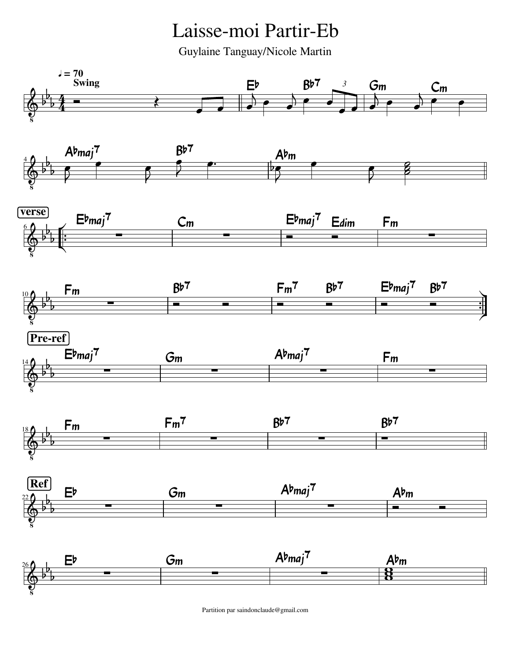Laisse-moi Partir-Eb

Guylaine Tanguay/Nicole Martin



Partition par saindonclaude@gmail.com